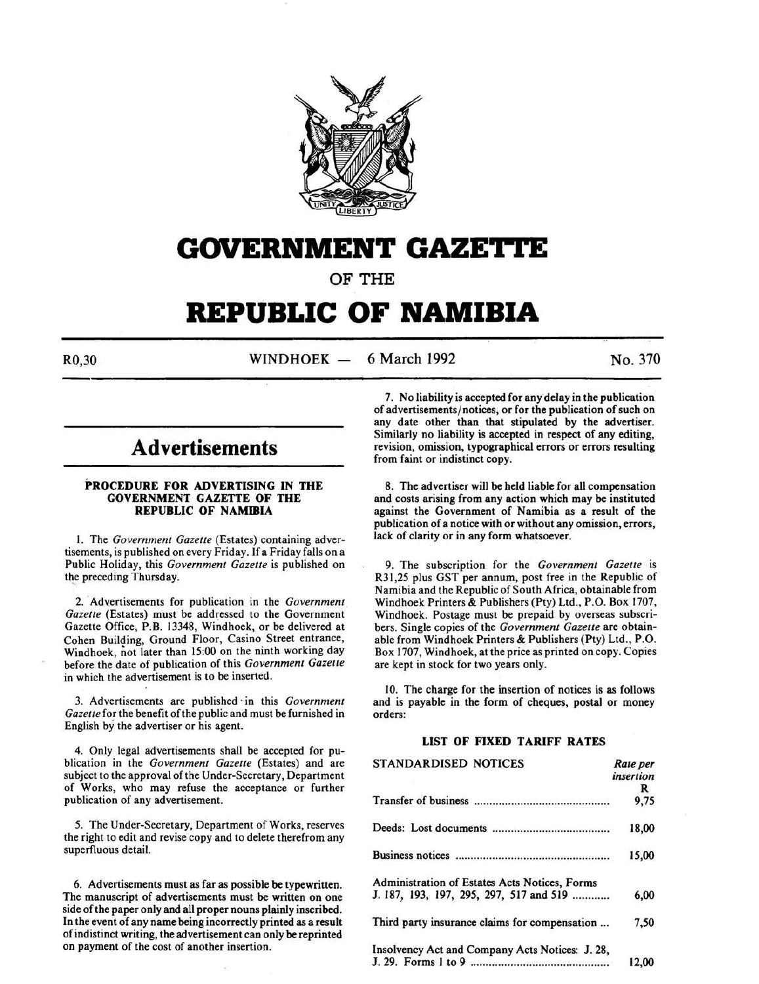

## **GOVERNMENT GAZETTE**

## OF THE

# **REPUBLIC OF NAMIBIA**

 $R0.30$  WINDHOEK - 6 March 1992 No. 370

## **Advertisements**

## PROCEDURE FOR ADVERTISING IN THE GOVERNMENT GAZETTE OF THE REPUBLIC OF NAMIBIA

1. The *Government Gazette* (Estates) containing advertisements, is published on every Friday. If a Friday falls on a Public Holiday, this *Government Gazette* is published on the preceding Thursday.

2. Advertisements for publication in the *Government* Gazette (Estates) must be addressed to the Government Gazette Office, P.B. 13348, Windhoek, or be delivered at Cohen Building, Ground Floor, Casino Street entrance, Windhoek, not later than 15:00 on the ninth working day before the date of publication of this *Government Gazette*  in which the advertisement is to be inserted.

3. Advertisements are published ·in this *Government Gazette* for the benefit of the public and must be furnished in English by the advertiser or his agent.

4. Only legal advertisements shall be accepted for publication in the *Government Gazette* (Estates) and are subject to the approval of the Under-Secretary, Department of Works, who may refuse the acceptance or further publication of any advertisement.

*5.* The Under-Secretary, Department of Works, reserves the right to edit and revise copy and to delete therefrom any superfluous detail.

6. Advertisements must as far as possible be typewritten. The manuscript of advertisements must be written on one side of the paper only and all proper nouns plainly inscribed. In the event of any name being incorrectly printed as a result of indistinct writing, the advertisement can only be reprinted on payment of the cost of another insertion.

7. No liability is accepted for any delay in the publication of advertisements/ notices, or for the publication of such on any date other than that stipulated by the advertiser. Similarly no liability is accepted in respect of any editing, revision, omission, typographical errors or errors resulting from faint or indistinct copy.

8. The advertiser will be held liable for all compensation and costs arising from any action which may be instituted against the Government of Namibia as a result of the publication of a notice with or without any omission, errors, lack of clarity or in any form whatsoever.

9. The subscription for the *Government Gazette* is R31,25 plus GST per annum, post free in the Republic of Namibia and the Republic of South Africa, obtainable from Windhoek Printers & Publishers (Pty) Ltd., P.O. Box 1707, Windhoek. Postage must be prepaid by overseas subscribers. Single copies of the *Government Gazette* are obtainable from Windhoek Printers & Publishers (Pty) Ltd., P.O. Box 1707, Windhoek, at the price as printed on copy. Copies are kept in stock for two years only.

10. The charge for the insertion of notices is as follows and is payable in the form of cheques, postal or money orders:

## LIST OF FIXED TARIFF RATES

| <b>STANDARDISED NOTICES</b>                     | Rate per  |
|-------------------------------------------------|-----------|
|                                                 | insertion |
|                                                 | R         |
|                                                 | 9,75      |
|                                                 | 18,00     |
|                                                 | 15,00     |
| Administration of Estates Acts Notices, Forms   |           |
| J. 187, 193, 197, 295, 297, 517 and 519         | 6,00      |
| Third party insurance claims for compensation   | 7,50      |
| Insolvency Act and Company Acts Notices: J. 28, |           |
|                                                 | 12.00     |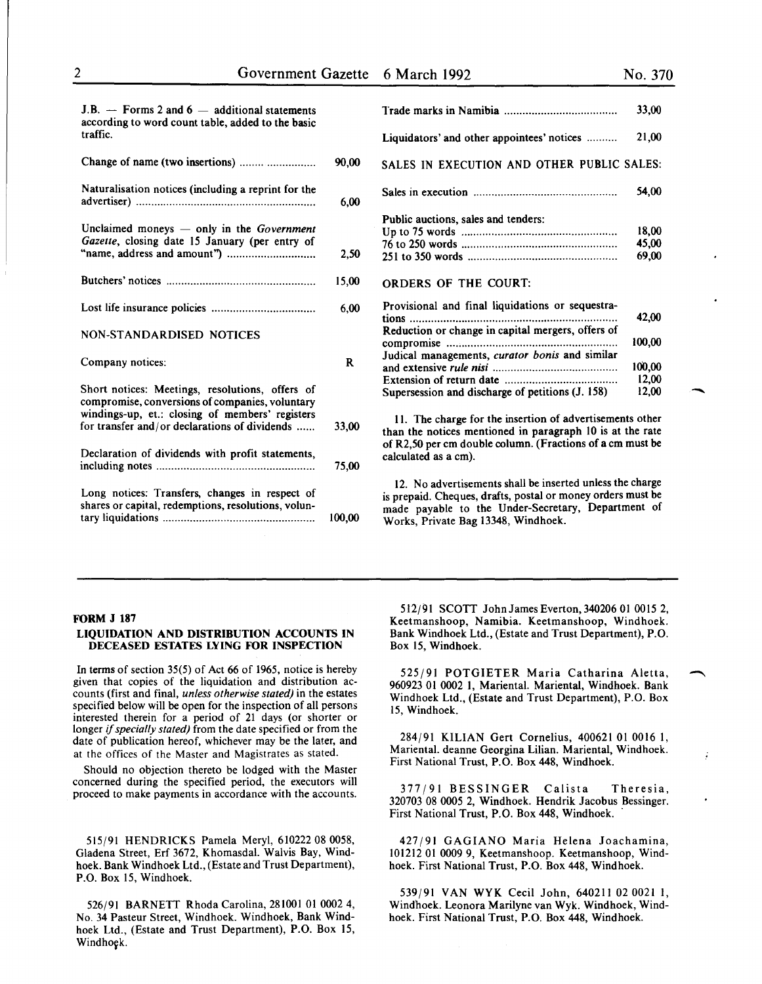-

 $J.B. -$  Forms 2 and  $6 -$  additional statements according to word count table, added to the basic traffic.

| Change of name (two insertions)                                                                                                                                                                        | 90,00  |
|--------------------------------------------------------------------------------------------------------------------------------------------------------------------------------------------------------|--------|
| Naturalisation notices (including a reprint for the                                                                                                                                                    | 6.00   |
| Unclaimed moneys $-$ only in the Government<br>Gazette, closing date 15 January (per entry of                                                                                                          | 2,50   |
|                                                                                                                                                                                                        | 15,00  |
|                                                                                                                                                                                                        | 6.00   |
| <b>NON-STANDARDISED NOTICES</b>                                                                                                                                                                        |        |
| Company notices:                                                                                                                                                                                       | R      |
| Short notices: Meetings, resolutions, offers of<br>compromise, conversions of companies, voluntary<br>windings-up, et.: closing of members' registers<br>for transfer and/or declarations of dividends | 33,00  |
| Declaration of dividends with profit statements,                                                                                                                                                       | 75,00  |
| Long notices: Transfers, changes in respect of<br>shares or capital, redemptions, resolutions, volun-                                                                                                  | 100,00 |

|                                                   | 33,00  |
|---------------------------------------------------|--------|
| Liquidators' and other appointees' notices        | 21,00  |
| SALES IN EXECUTION AND OTHER PUBLIC SALES:        |        |
|                                                   | 54,00  |
| Public auctions, sales and tenders:               |        |
|                                                   | 18,00  |
|                                                   | 45,00  |
|                                                   | 69,00  |
| <b>ORDERS OF THE COURT:</b>                       |        |
| Provisional and final liquidations or sequestra-  |        |
|                                                   | 42,00  |
| Reduction or change in capital mergers, offers of |        |
|                                                   | 100.00 |
| Judical managements, curator bonis and similar    |        |
|                                                   | 100,00 |
|                                                   | 12,00  |
| Supersession and discharge of petitions (J. 158)  | 12,00  |
|                                                   |        |

II. The charge for the insertion of advertisements other than the notices mentioned in paragraph 10 is at the rate of R2,50 per em double column. (Fractions of a em must be calculated as a em).

12. No advertisements shall be inserted unless the charge is prepaid. Cheques, drafts, postal or money orders must be made payable to the Under-Secretary, Department of Works, Private Bag 13348, Windhoek.

## FORM J 187

## LIQUIDATION AND DISTRIBUTION ACCOUNTS IN DECEASED ESTATES LYING FOR INSPECTION

In terms of section 35(5) of Act 66 of 1965, notice is hereby given that copies of the liquidation and distribution accounts (first and final, *unless otherwise stated)* in the estates specified below will be open for the inspection of all persons interested therein for a period of 21 days (or shorter or longer if *specially stated)* from the date specified or from the date of publication hereof, whichever may be the later, and at the offices of the Master and Magistrates as stated.

Should no objection thereto be lodged with the Master concerned during the specified period, the executors will proceed to make payments in accordance with the accounts.

515/91 HENDRICKS Pamela Meryl, 610222 08 0058, Gladena Street, Erf 3672, Khomasdal. Walvis Bay, Windhoek. Bank Windhoek Ltd., (Estate and Trust Department), P.O. Box 15, Windhoek.

526/91 BARNETT Rhoda Carolina, 281001 01 0002 4, No. 34 Pasteur Street, Windhoek. Windhoek, Bank Windhoek Ltd., (Estate and Trust Department), P.O. Box 15, Windhoęk.

512/91 SCOTT John James Everton, 340206 01 0015 2, Keetmanshoop, Namibia. Keetmanshoop, Windhoek. Bank Windhoek Ltd., (Estate and Trust Department), P.O. Box 15, Windhoek.

525/91 POTGIETER Maria Catharina Aletta, 960923 01 0002 I, Mariental. Mariental, Windhoek. Bank Windhoek Ltd., (Estate and Trust Department), P.O. Box 15, Windhoek.

284/91 KILIAN Gert Cornelius, 400621 01 0016 I, Mariental. deanne Georgina Lilian. Mariental, Windhoek. First National Trust, P.O. Box 448, Windhoek.

377/91 BESSINGER Calista Theresia, 320703 08 0005 2, Windhoek. Hendrik Jacobus Bessinger. First National Trust, P.O. Box 448, Windhoek.

427/91 GAGIANO Maria Helena Joachamina, 101212 01 0009 9, Keetmanshoop. Keetmanshoop, Windhoek. First National Trust, P.O. Box 448, Windhoek.

539/91 VAN WYK Cecil John, 640211 02 0021 1, Windhoek. Leonora Marilyne van Wyk. Windhoek, Windhoek. First National Trust, P.O. Box 448, Windhoek.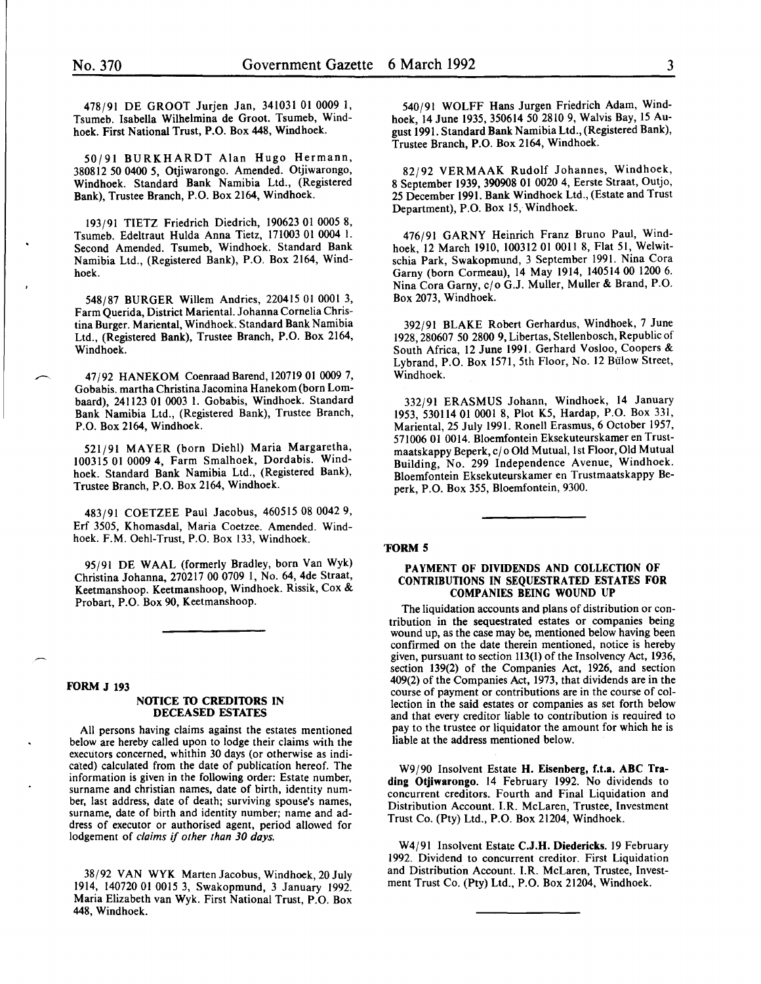478191 DE GROOT Jurjen Jan, 341031 01 0009 l, Tsumeb. Isabella Wilhelmina de Groot. Tsumeb, Windhoek. First National Trust, P.O. Box 448, Windhoek.

50191 BURKHARDT Alan Hugo Hermann, 380812 50 0400 5, Otjiwarongo. Amended. Otjiwarongo, Windhoek. Standard Bank Namibia Ltd., (Registered Bank), Trustee Branch, P.O. Box 2164, Windhoek.

193/91 TIETZ Friedrich Diedrich, 190623 01 0005 8, Tsumeb. Edeltraut Hulda Anna Tietz, 171003 01 0004 I. Second Amended. Tsumeb, Windhoek. Standard Bank Namibia Ltd., (Registered Bank), P.O. Box 2164, Windhoek.

548187 BURGER Willem Andries, 220415 01 0001 3, Farm Querida, District Mariental. Johanna Cornelia Christina Burger. Mariental, Windhoek. Standard Bank Namibia Ltd., (Registered Bank), Trustee Branch, P.O. Box 2164, Windhoek.

47192 HANEKOM Coenraad Barend, 120719 01 0009 7, Gobabis. martha Christina Jacomina Hanekom (born Lombaard), 241123 01 0003 I. Gobabis, Windhoek. Standard Bank Namibia Ltd., (Registered Bank), Trustee Branch, P.O. Box 2164, Windhoek.

521/91 MAYER (born Diehl) Maria Margaretha, 100315 01 0009 4, Farm Smalhoek, Dordabis. Windhoek. Standard Bank Namibia Ltd., (Registered Bank), Trustee Branch, P.O. Box 2164, Windhoek.

483191 COETZEE Paul Jacobus, 460515 08 0042 9, Erf 3505, Khomasdal, Maria Coetzee. Amended. Windhoek. F.M. Oehl-Trust, P.O. Box 133, Windhoek.

95/91 DE WAAL (formerly Bradley, born Van Wyk) Christina Johanna, 270217 00 0709 l, No. 64, 4de Straat, Keetmanshoop. Keetmanshoop, Windhoek. Rissik, Cox & Probart, P.O. Box 90, Keetmanshoop.

## FORM J 193

### NOTICE TO CREDITORS IN DECEASED ESTATES

All persons having claims against the estates mentioned below are hereby called upon to lodge their claims with the executors concerned, whithin 30 days (or otherwise as indicated) calculated from the date of publication hereof. The information is given in the following order: Estate number, surname and christian names, date of birth, identity number, last address, date of death; surviving spouse's names, surname, date of birth and identity number; name and address of executor or authorised agent, period allowed for lodgement of *claims* if *other than 30 days.* 

38/92 VAN WYK Marten Jacobus, Windhoek, 20 July 1914, 140720 01 0015 3, Swakopmund, 3 January 1992. Maria Elizabeth van Wyk. First National Trust, P.O. Box 448, Windhoek.

540/91 WOLFF Hans Jurgen Friedrich Adam, Windhoek, 14 June 1935, 350614 50 2810 9, Walvis Bay, 15 August 1991. Standard Bank Namibia Ltd., (Registered Bank), Trustee Branch, P.O. Box 2164, Windhoek.

82192 VERMAAK Rudolf Johannes, Windhoek, 8 September 1939, 390908 Ol 0020 4, Eerste Straat, Outjo, 25 December 1991. Bank Windhoek Ltd., (Estate and Trust Department), P.O. Box 15, Windhoek.

476191 GARNY Heinrich Franz Bruno Paul, Windhoek, 12 March 1910, 100312 01 0011 8, Flat 51, Welwitschia Park, Swakopmund, 3 September 1991. Nina Cora Garny (born Cormeau), 14 May 1914, 140514 00 1200 6. Nina Cora Garny, *clo* G.J. Muller, Muller & Brand, P.O. Box 2073, Windhoek.

392191 BLAKE Robert Gerhardus, Windhoek, 7 June 1928, 280607 50 2800 9, Libertas, Stellenbosch, Republic of South Africa, 12 June 1991. Gerhard Vosloo, Coopers & Lybrand, P.O. Box 1571, 5th Floor, No. 12 Bulow Street, Windhoek.

332/91 ERASMUS Johann, Windhoek, 14 January 1953, 530114 01 0001 8, Plot K5, Hardap, P.O. Box 331, Mariental, 25 July 1991. Ronell Erasmus, 6 October 1957, 571006 Ol 0014. Bloemfontein Eksekuteurskamer en Trustmaatskappy Beperk, *clo* Old Mutual, lst Floor, Old Mutual Building, No. 299 Independence Avenue, Windhoek. Bloemfontein Eksekuteurskamer en Trustmaatskappy Beperk, P.O. Box 355, Bloemfontein, 9300.

#### 'FORM 5

## PAYMENT OF DIVIDENDS AND COLLECTION OF CONTRIBUTIONS IN SEQUESTRATED ESTATES FOR COMPANIES BEING WOUND UP

The liquidation accounts and plans of distribution or contribution in the sequestrated estates or companies being wound up, as the case may be, mentioned below having been confirmed on the date therein mentioned, notice is hereby given, pursuant to section 113(1) of the Insolvency Act, 1936, section 139(2) of the Companies Act, 1926, and section 409(2) of the Companies Act, 1973, that dividends are in the course of payment or contributions are in the course of collection in the said estates or companies as set forth below and that every creditor liable to contribution is reauired to pay to the trustee or liquidator the amount for which he is liable at the address mentioned below.

W9/90 Insolvent Estate H. Eisenberg, f.t.a. ABC Trading Otjiwarongo. 14 February 1992. No dividends to concurrent creditors. Fourth and Final Liquidation and Distribution Account. I.R. McLaren, Trustee, Investment Trust Co. (Pty) Ltd., P.O. Box 21204, Windhoek.

W4191 Insolvent Estate C.J.H. Diedericks. 19 February 1992. Dividend to concurrent creditor. First Liquidation and Distribution Account. I.R. McLaren, Trustee, Investment Trust Co. (Pty) Ltd., P.O. Box 21204, Windhoek.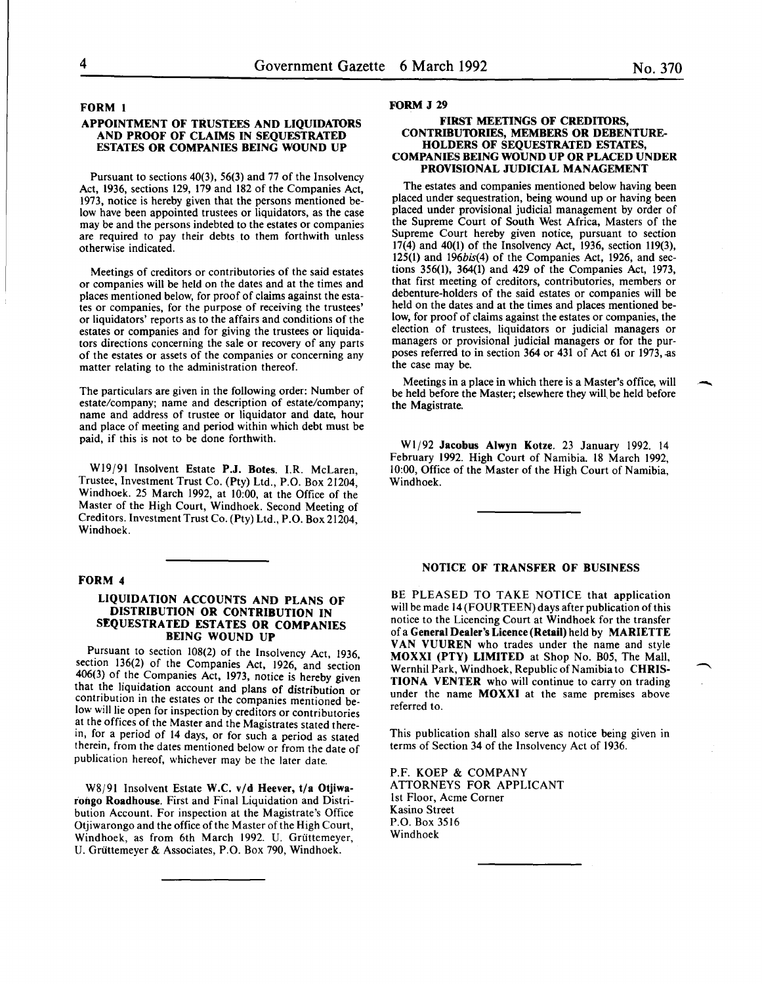--

## FORM I

## APPOINTMENT OF TRUSTEES AND LIQUIDATORS AND PROOF OF CLAIMS IN SEQUESTRATED ESTATES OR COMPANIES BEING WOUND UP

Pursuant to sections 40(3), 56(3) and 77 of the Insolvency Act, 1936, sections 129, 179 and 182 of the Companies Act, 1973, notice is hereby given that the persons mentioned below have been appointed trustees or liquidators, as the case may be and the persons indebted to the estates or companies are required to pay their debts to them forthwith unless otherwise indicated.

Meetings of creditors or contributories of the said estates or companies will be held on the dates and at the times and places mentioned below, for proof of claims against the estates or companies, for the purpose of receiving the trustees' or liquidators' reports as to the affairs and conditions of the estates or companies and for giving the trustees or liquidators directions concerning the sale or recovery of any parts of the estates or assets of the companies or concerning any matter relating to the administration thereof.

The particulars are given in the following order: Number of estate/company; name and description of estate/company; name and address of trustee or liquidator and date, hour and place of meeting and period within which debt must be paid, if this is not to be done forthwith.

W19/91 Insolvent Estate P.J. Botes. I.R. McLaren. Trustee, Investment Trust Co. (Pty) Ltd., P.O. Box 21204, Wmdhoek. 25 March 1992, at 10:00, at the Office of the Master of the High Court, Windhoek. Second Meeting of Creditors. Investment Trust Co. (Pty) Ltd., P.O. Box 21204 Windhoek.

## FORM 4

## LIQUIDATION ACCOUNTS AND PLANS OF DISTRIBUTION OR CONTRIBUTION IN SEQUESTRATED ESTATES OR COMPANIES BEING WOUND UP

Pursuant to section 108(2) of the Insolvency Act, 1936, section 136(2) of the Companies Act, 1926, and section 406(3) of the Companies Act, 1973, notice is hereby given contribution in the estates or the companies mentioned below will lie open for inspection by creditors or contributories at the offices of the Master and the Magistrates stated therein, for a period of 14 days, or for such a period as stated therein, from the dates mentioned below or from the date of publication hereof, whichever may be the later date.

W8/91 Insolvent Estate W.C. v/d Heever, t/a Otjiwarongo Roadhouse. First and Final Liquidation and Distribution Account. For inspection at the Magistrate's Office Otjiwarongo and the office of the Master of the High Court, Windhoek, as from 6th March 1992. U. Grüttemeyer, U. Griittemeyer & Associates, P.O. Box 790, Windhoek.

#### FORM J 29

#### FIRST MEETINGS OF CREDITORS. CONTRIBUTORIES, MEMBERS OR DEBENTURE-HOLDERS OF SEQUESTRATED ESTATES, COMPANIES BEING WOUND UP OR PLACED UNDER PROVISIONAL JUDICIAL MANAGEMENT

The estates and companies mentioned below having been placed under sequestration, being wound up or having been placed under provisional judicial management by order of the Supreme Court of South West Africa, Masters of the Supreme Court hereby given notice, pursuant to section 17(4) and 40(1) of the Insolvency Act, 1936, section 119(3), 125(1) and 196bis(4) of the Companies Act, 1926, and sections 356(1), 364(1) and 429 of the Companies Act, 1973, that first meeting of creditors, contributories, members or debenture-holders of the said estates or companies will be held on the dates and at the times and places mentioned below, for proof of claims against the estates or companies, the election of trustees, liquidators or judicial managers or managers or provisional judicial managers or for the purposes referred to in section 364 or 431 of Act 61 or 1973, as the case may be.

Meetings in a place in which there is a Master's office, will be held before the Master; elsewhere they will be held before the Magistrate.

Wl/92 Jacobus Alwyn Kotze. 23 January 1992. 14 February 1992. High Court of Namibia. 18 March 1992 10:00, Office of the Master of the High Court of Namibia, Windhoek.

## NOTICE OF TRANSFER OF BUSINESS

BE PLEASED TO TAKE NOTICE that application will be made 14 (FOURTEEN) days after publication of this notice to the Licencing Court at Windhoek for the transfer of a General Dealer's Licence (Retail) held by MARIETTE VAN VUUREN who trades under the name and style MOXXI (PTY) LIMITED at Shop No. B05, The Mall, Wernhil Park, Windhoek, Republic of Namibia to CHRIS-TIONA VENTER who will continue to carry on trading under the name MOXXI at the same premises above referred to.

This publication shall also serve as notice being given in terms of Section 34 of the Insolvency Act of 1936.

P.F. KOEP & COMPANY ATTORNEYS FOR APPLICANT 1st Floor, Acme Corner Kasino Street P.O. Box 3516 Windhoek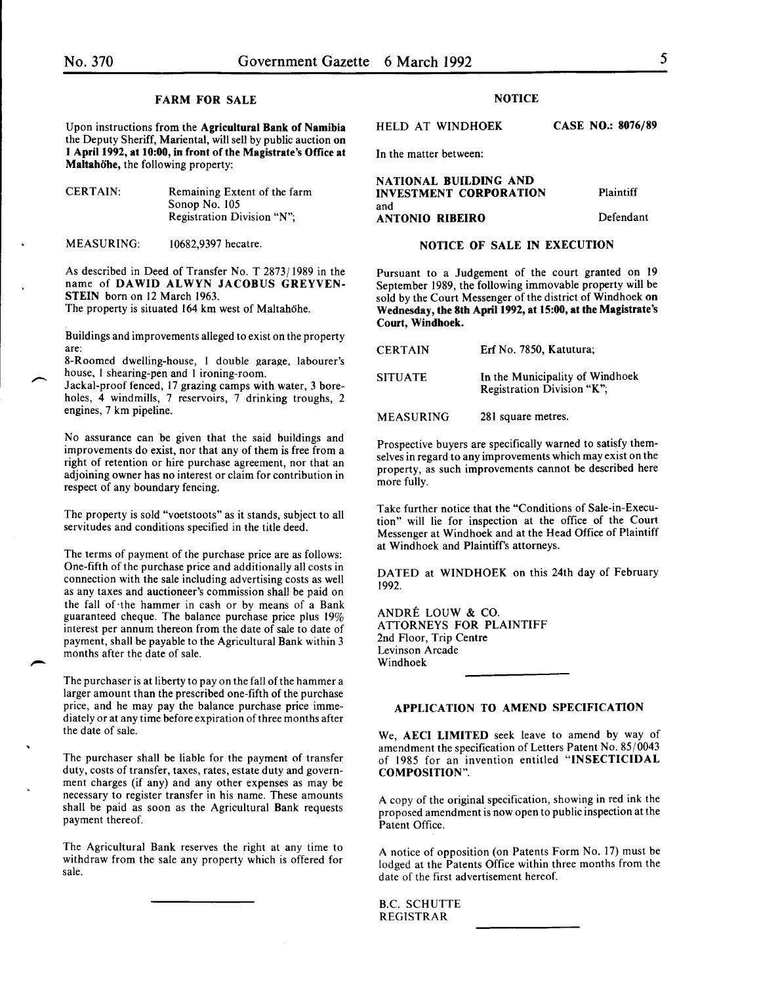## FARM FOR SALE

Upon instructions from the Agricultural Bank of Namibia the Deputy Sheriff, Mariental, will sell by public auction on 1 Apri11992, at 10:00, in front of the Magistrate's Office at Maltahöhe, the following property:

| <b>CERTAIN:</b> | Remaining Extent of the farm |
|-----------------|------------------------------|
|                 | Sonop No. 105                |
|                 | Registration Division "N";   |

MEASURING: 10682,9397 hecatre.

As described in Deed of Transfer No. T 2873/1989 in the name of DAWID ALWYN JACOBUS GREYVEN-STEIN born on 12 March 1963.

The property is situated 164 km west of Maltahöhe.

Buildings and improvements alleged to exist on the property are:

8-Roomed dwelling-house, 1 double garage, labourer's house, I shearing-pen and I ironing-room.

Jackal-proof fenced, 17 grazing camps with water, 3 boreholes, 4 windmills, 7 reservoirs, 7 drinking troughs, 2 engines, 7 km pipeline.

No assurance can be given that the said buildings and improvements do exist, nor that any of them is free from a right of retention or hire purchase agreement, nor that an adjoining owner has no interest or claim for contribution in respect of any boundary fencing.

The property is sold "voetstoots" as it stands, subject to all servitudes and conditions specified in the title deed.

The terms of payment of the purchase price are as follows: One-fifth of the purchase price and additionally all costs in connection with the sale including advertising costs as well as any taxes and auctioneer's commission shall be paid on the fall of ·the hammer in cash or by means of a Bank guaranteed cheque. The balance purchase price plus 19% interest per annum thereon from the date of sale to date of payment, shall be payable to the Agricultural Bank within 3 months after the date of sale.

The purchaser is at liberty to pay on the fall of the hammer a larger amount than the prescribed one-fifth of the purchase price, and he may pay the balance purchase price immediately or at any time before expiration of three months after the date of sale.

The purchaser shall be liable for the payment of transfer duty, costs of transfer, taxes, rates, estate duty and government charges (if any) and any other expenses as may be necessary to register transfer in his name. These amounts shall be paid as soon as the Agricultural Bank requests payment thereof.

The Agricultural Bank reserves the right at any time to withdraw from the sale any property which is offered for sale.

### **NOTICE**

#### HELD AT WINDHOEK CASE NO.: 8076/89

In the matter between:

NATIONAL BUILDING AND INVESTMENT CORPORATION and ANTONIO RIBEIRO Plaintiff Defendant

## NOTICE OF SALE IN EXECUTION

Pursuant to a Judgement of the court granted on 19 September 1989, the following immovable property will be sold by the Court Messenger of the district of Windhoek on Wednesday, the 8th April1992, at 15:00, at the Magistrate's Court, Windhoek.

| <b>CERTAIN</b> | Erf No. 7850, Katutura;                                       |
|----------------|---------------------------------------------------------------|
| <b>SITUATE</b> | In the Municipality of Windhoek<br>Registration Division "K"; |

MEASURING 281 square metres.

Prospective buyers are specifically warned to satisfy themselves in regard to any improvements which may exist on the property, as such improvements cannot be described here more fully.

Take further notice that the "Conditions of Sale-in-Execution" will lie for inspection at the office of the Court Messenger at Windhoek and at the Head Office of Plaintiff at Windhoek and Plaintiff's attorneys.

DATED at WINDHOEK on this 24th day of February 1992.

ANDRE LOUW & CO. ATTORNEYS FOR PLAINTIFF 2nd Floor, Trip Centre Levinson Arcade Windhoek

## APPLICATION TO AMEND SPECIFICATION

We, AECI LIMITED seek leave to amend by way of amendment the specification of Letters Patent No. 85/0043 of 1985 for an invention entitled "INSECTICIDAL COMPOSITION".

A copy of the original specification, showing in red ink the proposed amendment is now open to public inspection at the Patent Office.

A notice of opposition (on Patents Form No. 17) must be lodged at the Patents Office within three months from the date of the first advertisement hereof.

B.C. SCHUTTE REGISTRAR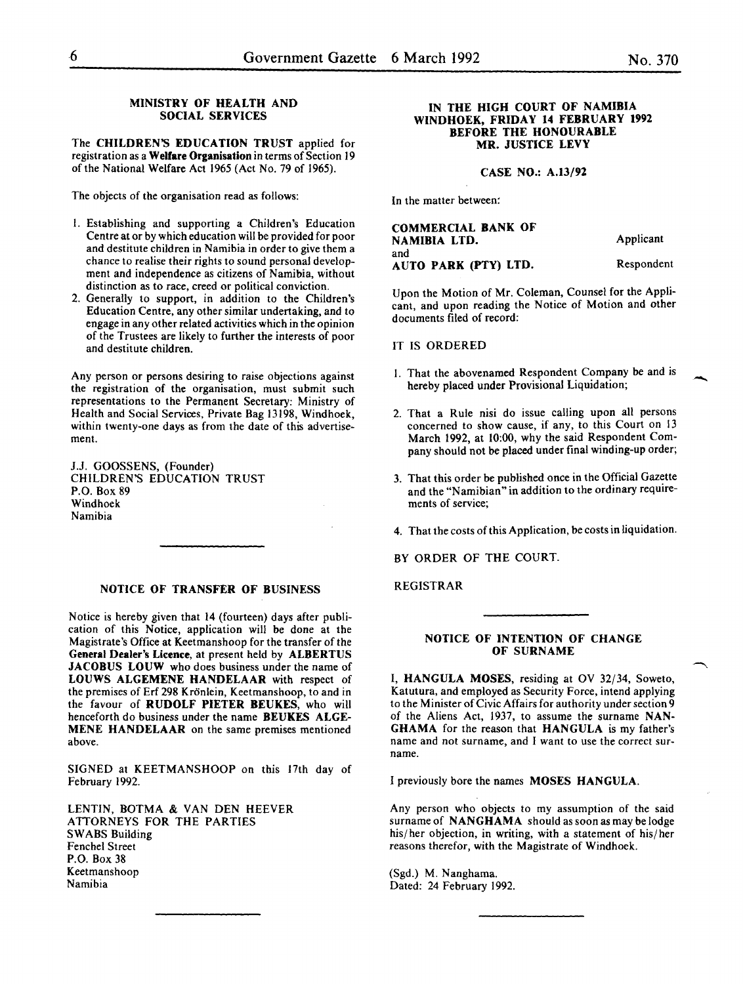## MINISTRY OF HEALTH AND SOCIAL SERVICES

The CHILDREN'S EDUCATION TRUST applied for registration as a Welfare Organisation in terms of Section 19 of the National Welfare Act 1965 (Act No. 79 of 1965).

The objects of the organisation read as follows:

- I. Establishing and supporting a Children's Education Centre at or by which education will be provided for poor and destitute children in Namibia in order to give them a chance to realise their rights to sound personal development and independence as citizens of Namibia, without distinction as to race, creed or political conviction.
- 2. Generally to support, in addition to the Children's Education Centre, any other similar undertaking, and to engage in any other related activities which in the opinion of the Trustees are likely to further the interests of poor and destitute children.

Any person or persons desiring to raise objections against the registration of the organisation, must submit such representations to the Permanent Secretary: Ministry of Health and Social Services, Private Bag 13198, Windhoek, within twenty-one days as from the date of this advertisement.

J.J. GOOSSENS, (Founder) CHILDREN'S EDUCATION TRUST P.O. Box 89 Windhoek Namibia

## NOTICE OF TRANSFER OF BUSINESS

Notice is hereby given that 14 (fourteen) days after publication of this Notice, application will be done at the Magistrate's Office at Keetmanshoop for the transfer of the General Dealer's Licence, at present held by ALBERTUS JACOBUS LOUW who does business under the name of LOUWS ALGEMENE HANDELAAR with respect of the premises of Erf 298 Krönlein, Keetmanshoop, to and in the favour of RUDOLF PIETER BEUKES, who will henceforth do business under the name BEUKES ALGE-MENE HANDELAAR on the same premises mentioned above.

SIGNED at KEETMANSHOOP on this 17th day of February 1992.

LENTIN, BOTMA & VAN DEN HEEVER ATTORNEYS FOR THE PARTIES SWABS Building Fenchel Street P.O. Box 38 Keetmanshoop Namibia

### IN THE HIGH COURT OF NAMIBIA WINDHOEK, FRIDAY 14 FEBRUARY 1992 BEFORE THE HONOURABLE MR. JUSTICE LEVY

## CASE NO.: A.l3/92

In the matter between:

| <b>COMMERCIAL BANK OF</b><br>NAMIBIA LTD. | Applicant  |
|-------------------------------------------|------------|
| and<br>AUTO PARK (PTY) LTD.               | Respondent |

Upon the Motion of Mr. Coleman, Counsel for the Applicant, and upon reading the Notice of Motion and other documents filed of record:

## IT IS ORDERED

- I. That the abovenamed Respondent Company be and is hereby placed under Provisional Liquidation;
- 2. That a Rule nisi do issue calling upon all persons concerned to show cause, if any, to this Court on 13 March 1992, at 10:00, why the said Respondent Company should not be placed under final winding-up order;
- 3. That this order be published once in the Official Gazette and the "Namibian" in addition to the ordinary requirements of service;
- 4. That the costs of this Application, be costs in liquidation.

BY ORDER OF THE COURT.

## REGISTRAR

## NOTICE OF INTENTION OF CHANGE OF SURNAME

I, HANGULA MOSES, residing at OV 32/34, Soweto, Katutura, and employed as Security Force, intend applying to the Minister of Civic Affairs for authority under section 9 of the Aliens Act, 1937, to assume the surname NAN-GHAMA for the reason that HANGULA is my father's name and not surname, and I want to use the correct surname.

I previously bore the names MOSES HANGULA.

Any person who objects to my assumption of the said surname of NANGHAMA should as soon as may be lodge his/ her objection, in writing, with a statement of his/ her reasons therefor, with the Magistrate of Windhoek.

(Sgd.) M. Nanghama. Dated: 24 February 1992. -